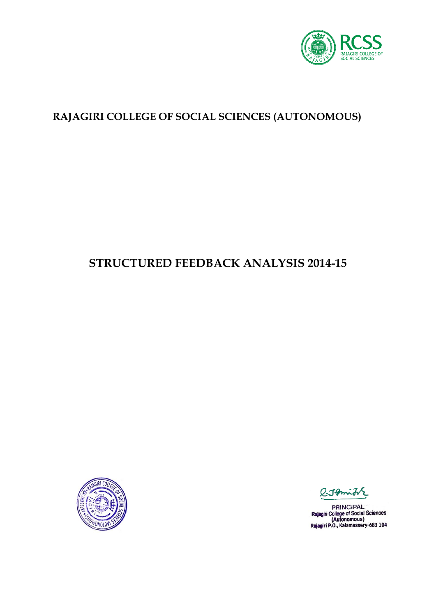

### **RAJAGIRI COLLEGE OF SOCIAL SCIENCES (AUTONOMOUS)**

# **STRUCTURED FEEDBACK ANALYSIS 2014-15**



R:Jomith

**PRINCIPAL** PHINCIPAL<br>Rajagiri College of Social Sciences<br>(Autonomous)<br>Rajagiri P.O., Kalamassery-683 104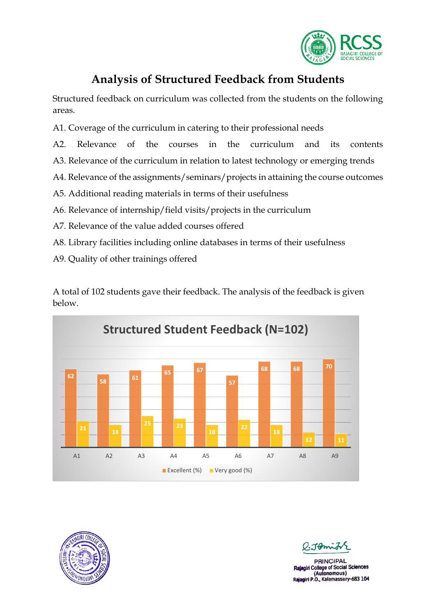

### **Analysis of Structured Feedback from Students**

Structured feedback on curriculum was collected from the students on the following areas.

- A1. Coverage of the curriculum in catering to their professional needs
- A2. Relevance of the courses in the curriculum and its contents
- A3. Relevance of the curriculum in relation to latest technology or emerging trends
- A4. Relevance of the assignments/seminars/projects in attaining the course outcomes
- A5. Additional reading materials in terms of their usefulness
- A6. Relevance of internship/field visits/projects in the curriculum
- A7. Relevance of the value added courses offered
- A8. Library facilities including online databases in terms of their usefulness
- A9. Quality of other trainings offered

A total of 102 students gave their feedback. The analysis of the feedback is given below.





Tomich

**PRINCIPAL** giri College of Social Sciences (Autonomous) Rajagiri P.O., Kalamassery-683 104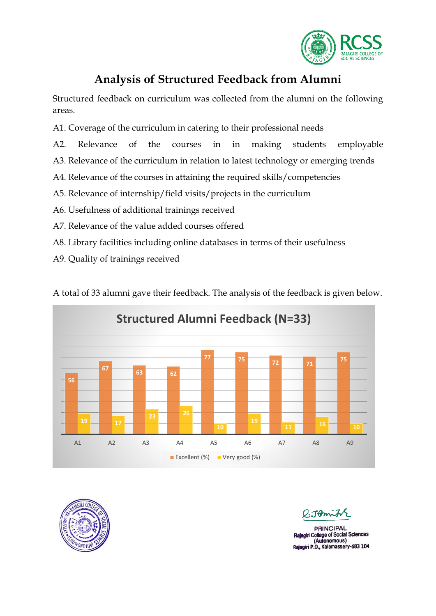

### **Analysis of Structured Feedback from Alumni**

Structured feedback on curriculum was collected from the alumni on the following areas.

- A1. Coverage of the curriculum in catering to their professional needs
- A2. Relevance of the courses in in making students employable
- A3. Relevance of the curriculum in relation to latest technology or emerging trends
- A4. Relevance of the courses in attaining the required skills/competencies
- A5. Relevance of internship/field visits/projects in the curriculum
- A6. Usefulness of additional trainings received
- A7. Relevance of the value added courses offered
- A8. Library facilities including online databases in terms of their usefulness
- A9. Quality of trainings received

A total of 33 alumni gave their feedback. The analysis of the feedback is given below.





Tomit

**PRINCIPAL** iri College of Social Sciences (Autonomous) Rajagiri P.O., Kalamassery-683 104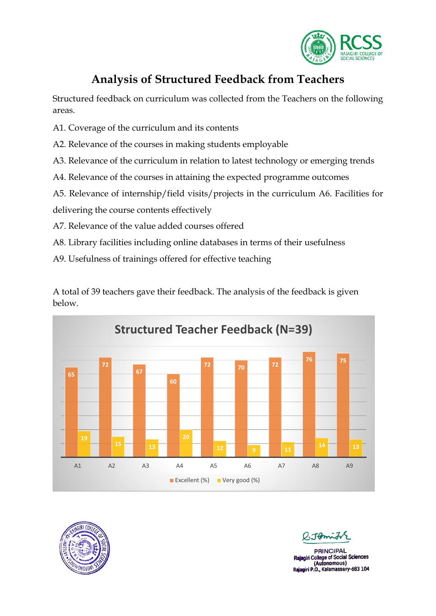

## **Analysis of Structured Feedback from Teachers**

Structured feedback on curriculum was collected from the Teachers on the following areas.

- A1. Coverage of the curriculum and its contents
- A2. Relevance of the courses in making students employable
- A3. Relevance of the curriculum in relation to latest technology or emerging trends
- A4. Relevance of the courses in attaining the expected programme outcomes
- A5. Relevance of internship/field visits/projects in the curriculum A6. Facilities for

delivering the course contents effectively

- A7. Relevance of the value added courses offered
- A8. Library facilities including online databases in terms of their usefulness
- A9. Usefulness of trainings offered for effective teaching



A total of 39 teachers gave their feedback. The analysis of the feedback is given below.



**PRINCIPAL** College of Social Sciences (Autonomous) Rajagiri P.O., Kalamassery-683 104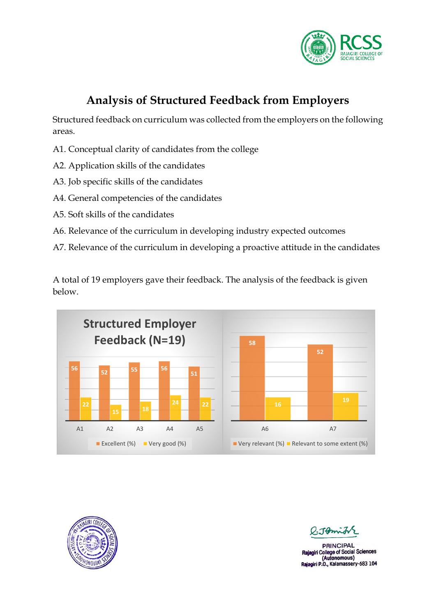

# **Analysis of Structured Feedback from Employers**

Structured feedback on curriculum was collected from the employers on the following areas.

- A1. Conceptual clarity of candidates from the college
- A2. Application skills of the candidates
- A3. Job specific skills of the candidates
- A4. General competencies of the candidates
- A5. Soft skills of the candidates
- A6. Relevance of the curriculum in developing industry expected outcomes
- A7. Relevance of the curriculum in developing a proactive attitude in the candidates

A total of 19 employers gave their feedback. The analysis of the feedback is given below.





 $T_{\rm 2}$ 

**PRINCIPAL** Rajagiri College of Social Sciences (Autonomous) Rajagiri P.O., Kalamassery-683 104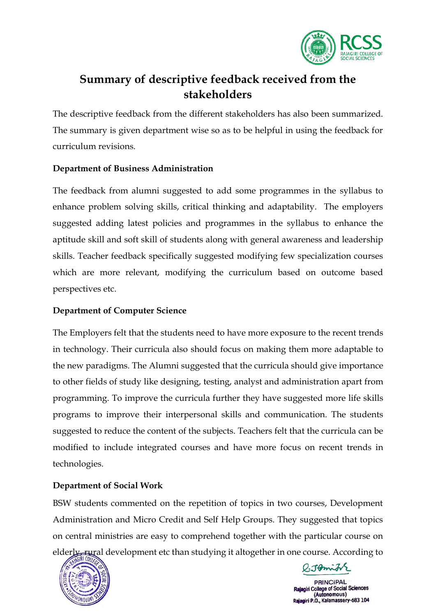

## **Summary of descriptive feedback received from the stakeholders**

The descriptive feedback from the different stakeholders has also been summarized. The summary is given department wise so as to be helpful in using the feedback for curriculum revisions.

#### **Department of Business Administration**

The feedback from alumni suggested to add some programmes in the syllabus to enhance problem solving skills, critical thinking and adaptability. The employers suggested adding latest policies and programmes in the syllabus to enhance the aptitude skill and soft skill of students along with general awareness and leadership skills. Teacher feedback specifically suggested modifying few specialization courses which are more relevant, modifying the curriculum based on outcome based perspectives etc.

#### **Department of Computer Science**

The Employers felt that the students need to have more exposure to the recent trends in technology. Their curricula also should focus on making them more adaptable to the new paradigms. The Alumni suggested that the curricula should give importance to other fields of study like designing, testing, analyst and administration apart from programming. To improve the curricula further they have suggested more life skills programs to improve their interpersonal skills and communication. The students suggested to reduce the content of the subjects. Teachers felt that the curricula can be modified to include integrated courses and have more focus on recent trends in technologies.

### **Department of Social Work**

BSW students commented on the repetition of topics in two courses, Development Administration and Micro Credit and Self Help Groups. They suggested that topics on central ministries are easy to comprehend together with the particular course on elderly, rural development etc than studying it altogether in one course. According to



P.JAmith

**PRINCIPAL College of Social Sciences** (Autonomous) iagiri P.O., Kalamassery-683 104